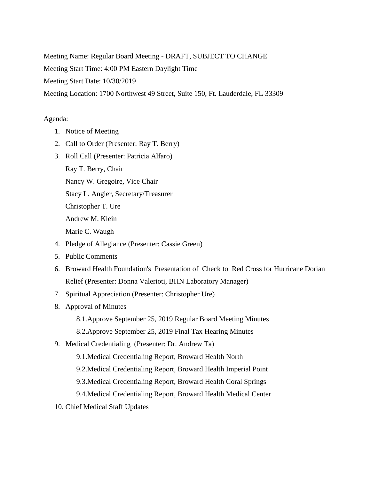Meeting Name: Regular Board Meeting - DRAFT, SUBJECT TO CHANGE

Meeting Start Time: 4:00 PM Eastern Daylight Time

Meeting Start Date: 10/30/2019

Meeting Location: 1700 Northwest 49 Street, Suite 150, Ft. Lauderdale, FL 33309

## Agenda:

- 1. Notice of Meeting
- 2. Call to Order (Presenter: Ray T. Berry)
- 3. Roll Call (Presenter: Patricia Alfaro) Ray T. Berry, Chair Nancy W. Gregoire, Vice Chair Stacy L. Angier, Secretary/Treasurer Christopher T. Ure Andrew M. Klein Marie C. Waugh
- 4. Pledge of Allegiance (Presenter: Cassie Green)
- 5. Public Comments
- 6. Broward Health Foundation's Presentation of Check to Red Cross for Hurricane Dorian Relief (Presenter: Donna Valerioti, BHN Laboratory Manager)
- 7. Spiritual Appreciation (Presenter: Christopher Ure)
- 8. Approval of Minutes
	- 8.1.Approve September 25, 2019 Regular Board Meeting Minutes
	- 8.2.Approve September 25, 2019 Final Tax Hearing Minutes
- 9. Medical Credentialing (Presenter: Dr. Andrew Ta)
	- 9.1.Medical Credentialing Report, Broward Health North
	- 9.2.Medical Credentialing Report, Broward Health Imperial Point
	- 9.3.Medical Credentialing Report, Broward Health Coral Springs
	- 9.4.Medical Credentialing Report, Broward Health Medical Center
- 10. Chief Medical Staff Updates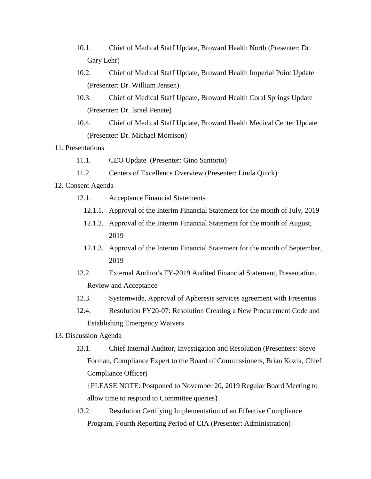- 10.1. Chief of Medical Staff Update, Broward Health North (Presenter: Dr. Gary Lehr)
- 10.2. Chief of Medical Staff Update, Broward Health Imperial Point Update (Presenter: Dr. William Jensen)
- 10.3. Chief of Medical Staff Update, Broward Health Coral Springs Update (Presenter: Dr. Israel Penate)
- 10.4. Chief of Medical Staff Update, Broward Health Medical Center Update (Presenter: Dr. Michael Morrison)
- 11. Presentations
	- 11.1. CEO Update (Presenter: Gino Santorio)
	- 11.2. Centers of Excellence Overview (Presenter: Linda Quick)

## 12. Consent Agenda

- 12.1. Acceptance Financial Statements
	- 12.1.1. Approval of the Interim Financial Statement for the month of July, 2019
	- 12.1.2. Approval of the Interim Financial Statement for the month of August, 2019
	- 12.1.3. Approval of the Interim Financial Statement for the month of September, 2019
- 12.2. External Auditor's FY-2019 Audited Financial Statement, Presentation, Review and Acceptance
- 12.3. Systemwide, Approval of Apheresis services agreement with Fresenius
- 12.4. Resolution FY20-07: Resolution Creating a New Procurement Code and Establishing Emergency Waivers
- 13. Discussion Agenda
	- 13.1. Chief Internal Auditor, Investigation and Resolution (Presenters: Steve Forman, Compliance Expert to the Board of Commissioners, Brian Kozik, Chief Compliance Officer)

{PLEASE NOTE: Postponed to November 20, 2019 Regular Board Meeting to allow time to respond to Committee queries}.

13.2. Resolution Certifying Implementation of an Effective Compliance Program, Fourth Reporting Period of CIA (Presenter: Administration)